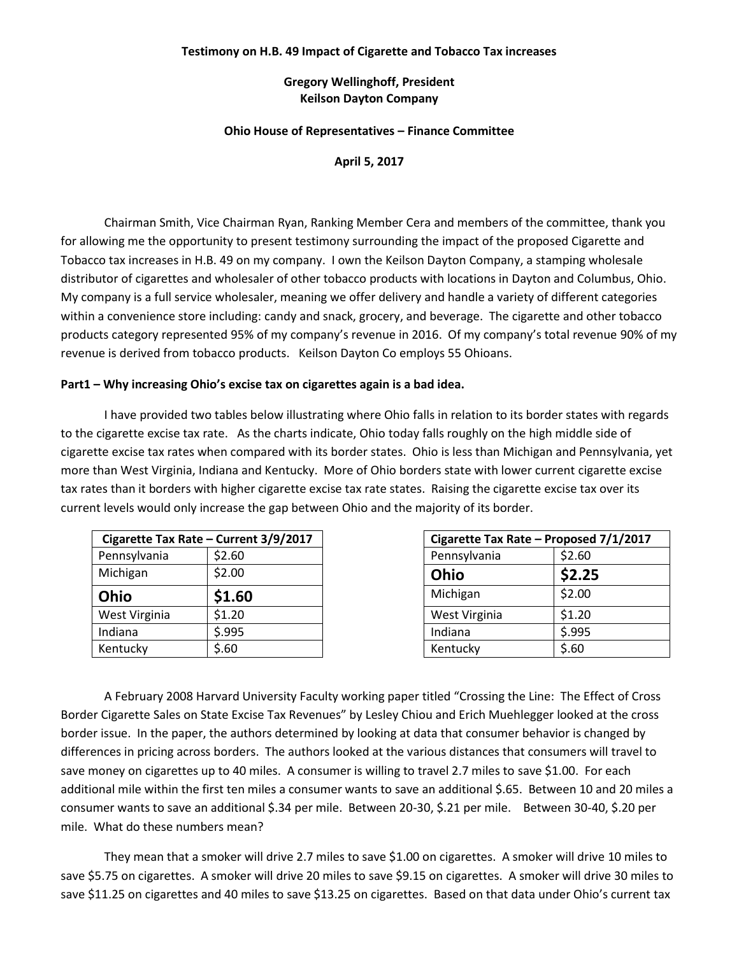## **Testimony on H.B. 49 Impact of Cigarette and Tobacco Tax increases**

# **Gregory Wellinghoff, President Keilson Dayton Company**

## **Ohio House of Representatives – Finance Committee**

**April 5, 2017**

Chairman Smith, Vice Chairman Ryan, Ranking Member Cera and members of the committee, thank you for allowing me the opportunity to present testimony surrounding the impact of the proposed Cigarette and Tobacco tax increases in H.B. 49 on my company. I own the Keilson Dayton Company, a stamping wholesale distributor of cigarettes and wholesaler of other tobacco products with locations in Dayton and Columbus, Ohio. My company is a full service wholesaler, meaning we offer delivery and handle a variety of different categories within a convenience store including: candy and snack, grocery, and beverage. The cigarette and other tobacco products category represented 95% of my company's revenue in 2016. Of my company's total revenue 90% of my revenue is derived from tobacco products. Keilson Dayton Co employs 55 Ohioans.

## **Part1 – Why increasing Ohio's excise tax on cigarettes again is a bad idea.**

I have provided two tables below illustrating where Ohio falls in relation to its border states with regards to the cigarette excise tax rate. As the charts indicate, Ohio today falls roughly on the high middle side of cigarette excise tax rates when compared with its border states. Ohio is less than Michigan and Pennsylvania, yet more than West Virginia, Indiana and Kentucky. More of Ohio borders state with lower current cigarette excise tax rates than it borders with higher cigarette excise tax rate states. Raising the cigarette excise tax over its current levels would only increase the gap between Ohio and the majority of its border.

|               | Cigarette Tax Rate - Current 3/9/2017 |      | Cigarette Tax Rate - Proposed |        |
|---------------|---------------------------------------|------|-------------------------------|--------|
| Pennsylvania  | \$2.60                                |      | Pennsylvania                  | \$2.60 |
| Michigan      | \$2.00                                | Ohio |                               | \$2.25 |
| Ohio          | \$1.60                                |      | Michigan                      | \$2.00 |
| West Virginia | \$1.20                                |      | West Virginia                 | \$1.20 |
| Indiana       | \$.995                                |      | Indiana                       | \$.995 |
| Kentucky      | \$.60                                 |      | Kentucky                      | \$.60  |

|                      | Cigarette Tax Rate - Current 3/9/2017 |               | Cigarette Tax Rate - Proposed 7/1/2017 |
|----------------------|---------------------------------------|---------------|----------------------------------------|
| Pennsylvania         | \$2.60                                | Pennsylvania  | \$2.60                                 |
| <b>Michigan</b>      | \$2.00                                | Ohio          | \$2.25                                 |
| <b>Ohio</b>          | \$1.60                                | Michigan      | \$2.00                                 |
| <b>Nest Virginia</b> | \$1.20                                | West Virginia | \$1.20                                 |
| ndiana               | \$.995                                | Indiana       | 5.995                                  |
| <b>Centucky</b>      | \$.60                                 | Kentucky      | \$.60                                  |

A February 2008 Harvard University Faculty working paper titled "Crossing the Line: The Effect of Cross Border Cigarette Sales on State Excise Tax Revenues" by Lesley Chiou and Erich Muehlegger looked at the cross border issue. In the paper, the authors determined by looking at data that consumer behavior is changed by differences in pricing across borders. The authors looked at the various distances that consumers will travel to save money on cigarettes up to 40 miles. A consumer is willing to travel 2.7 miles to save \$1.00. For each additional mile within the first ten miles a consumer wants to save an additional \$.65. Between 10 and 20 miles a consumer wants to save an additional \$.34 per mile. Between 20-30, \$.21 per mile. Between 30-40, \$.20 per mile. What do these numbers mean?

They mean that a smoker will drive 2.7 miles to save \$1.00 on cigarettes. A smoker will drive 10 miles to save \$5.75 on cigarettes. A smoker will drive 20 miles to save \$9.15 on cigarettes. A smoker will drive 30 miles to save \$11.25 on cigarettes and 40 miles to save \$13.25 on cigarettes. Based on that data under Ohio's current tax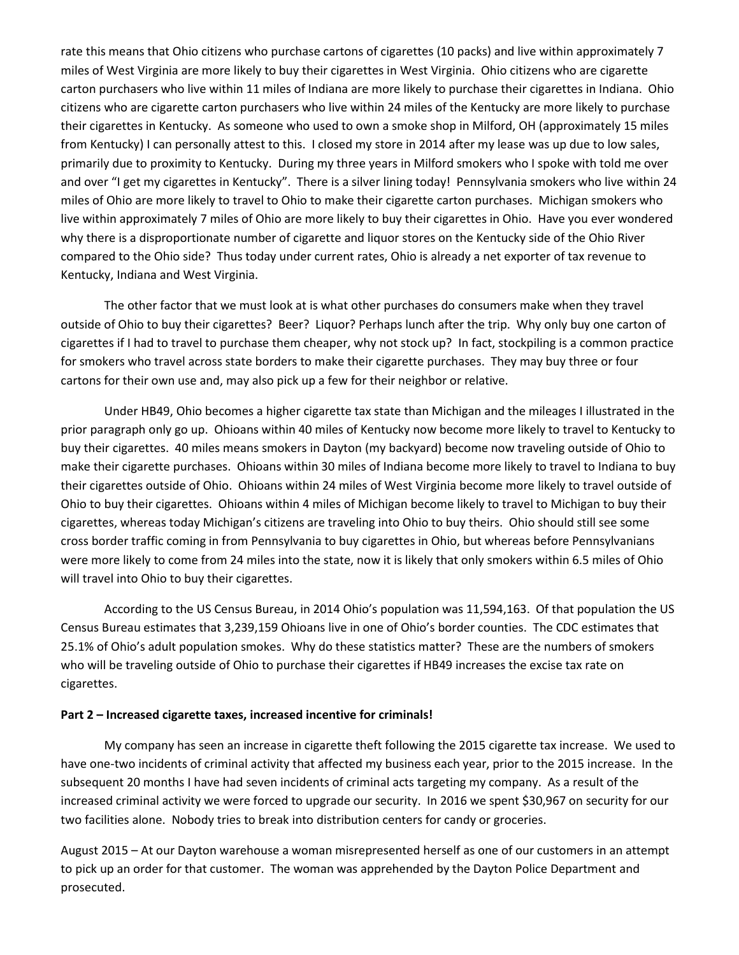rate this means that Ohio citizens who purchase cartons of cigarettes (10 packs) and live within approximately 7 miles of West Virginia are more likely to buy their cigarettes in West Virginia. Ohio citizens who are cigarette carton purchasers who live within 11 miles of Indiana are more likely to purchase their cigarettes in Indiana. Ohio citizens who are cigarette carton purchasers who live within 24 miles of the Kentucky are more likely to purchase their cigarettes in Kentucky. As someone who used to own a smoke shop in Milford, OH (approximately 15 miles from Kentucky) I can personally attest to this. I closed my store in 2014 after my lease was up due to low sales, primarily due to proximity to Kentucky. During my three years in Milford smokers who I spoke with told me over and over "I get my cigarettes in Kentucky". There is a silver lining today! Pennsylvania smokers who live within 24 miles of Ohio are more likely to travel to Ohio to make their cigarette carton purchases. Michigan smokers who live within approximately 7 miles of Ohio are more likely to buy their cigarettes in Ohio. Have you ever wondered why there is a disproportionate number of cigarette and liquor stores on the Kentucky side of the Ohio River compared to the Ohio side? Thus today under current rates, Ohio is already a net exporter of tax revenue to Kentucky, Indiana and West Virginia.

The other factor that we must look at is what other purchases do consumers make when they travel outside of Ohio to buy their cigarettes? Beer? Liquor? Perhaps lunch after the trip. Why only buy one carton of cigarettes if I had to travel to purchase them cheaper, why not stock up? In fact, stockpiling is a common practice for smokers who travel across state borders to make their cigarette purchases. They may buy three or four cartons for their own use and, may also pick up a few for their neighbor or relative.

Under HB49, Ohio becomes a higher cigarette tax state than Michigan and the mileages I illustrated in the prior paragraph only go up. Ohioans within 40 miles of Kentucky now become more likely to travel to Kentucky to buy their cigarettes. 40 miles means smokers in Dayton (my backyard) become now traveling outside of Ohio to make their cigarette purchases. Ohioans within 30 miles of Indiana become more likely to travel to Indiana to buy their cigarettes outside of Ohio. Ohioans within 24 miles of West Virginia become more likely to travel outside of Ohio to buy their cigarettes. Ohioans within 4 miles of Michigan become likely to travel to Michigan to buy their cigarettes, whereas today Michigan's citizens are traveling into Ohio to buy theirs. Ohio should still see some cross border traffic coming in from Pennsylvania to buy cigarettes in Ohio, but whereas before Pennsylvanians were more likely to come from 24 miles into the state, now it is likely that only smokers within 6.5 miles of Ohio will travel into Ohio to buy their cigarettes.

According to the US Census Bureau, in 2014 Ohio's population was 11,594,163. Of that population the US Census Bureau estimates that 3,239,159 Ohioans live in one of Ohio's border counties. The CDC estimates that 25.1% of Ohio's adult population smokes. Why do these statistics matter? These are the numbers of smokers who will be traveling outside of Ohio to purchase their cigarettes if HB49 increases the excise tax rate on cigarettes.

#### **Part 2 – Increased cigarette taxes, increased incentive for criminals!**

My company has seen an increase in cigarette theft following the 2015 cigarette tax increase. We used to have one-two incidents of criminal activity that affected my business each year, prior to the 2015 increase. In the subsequent 20 months I have had seven incidents of criminal acts targeting my company. As a result of the increased criminal activity we were forced to upgrade our security. In 2016 we spent \$30,967 on security for our two facilities alone. Nobody tries to break into distribution centers for candy or groceries.

August 2015 – At our Dayton warehouse a woman misrepresented herself as one of our customers in an attempt to pick up an order for that customer. The woman was apprehended by the Dayton Police Department and prosecuted.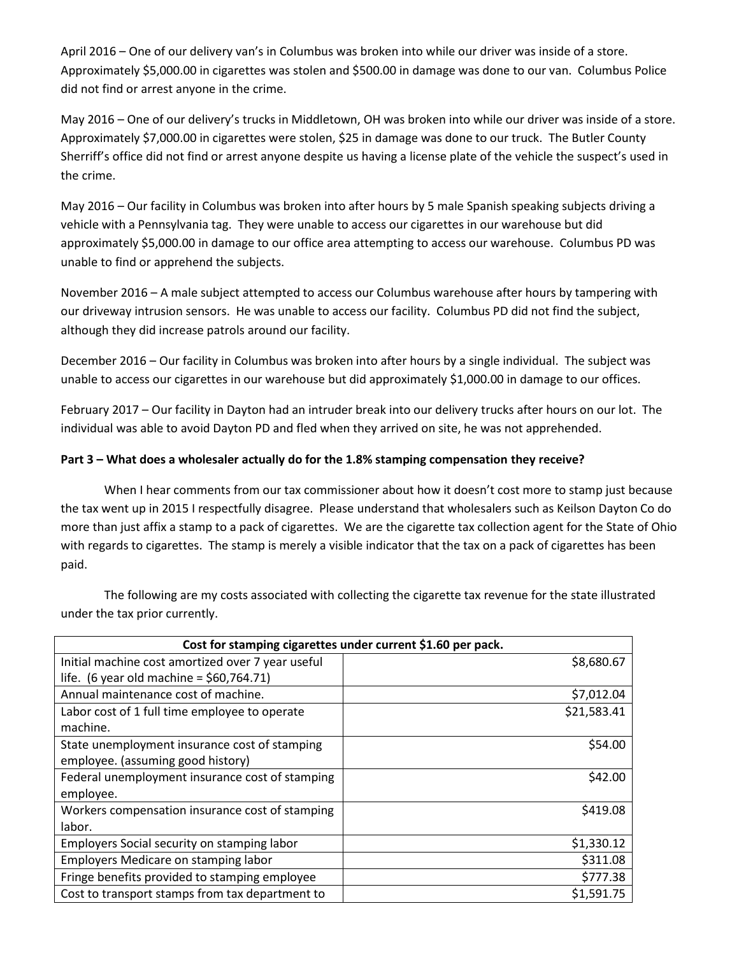April 2016 – One of our delivery van's in Columbus was broken into while our driver was inside of a store. Approximately \$5,000.00 in cigarettes was stolen and \$500.00 in damage was done to our van. Columbus Police did not find or arrest anyone in the crime.

May 2016 – One of our delivery's trucks in Middletown, OH was broken into while our driver was inside of a store. Approximately \$7,000.00 in cigarettes were stolen, \$25 in damage was done to our truck. The Butler County Sherriff's office did not find or arrest anyone despite us having a license plate of the vehicle the suspect's used in the crime.

May 2016 – Our facility in Columbus was broken into after hours by 5 male Spanish speaking subjects driving a vehicle with a Pennsylvania tag. They were unable to access our cigarettes in our warehouse but did approximately \$5,000.00 in damage to our office area attempting to access our warehouse. Columbus PD was unable to find or apprehend the subjects.

November 2016 – A male subject attempted to access our Columbus warehouse after hours by tampering with our driveway intrusion sensors. He was unable to access our facility. Columbus PD did not find the subject, although they did increase patrols around our facility.

December 2016 – Our facility in Columbus was broken into after hours by a single individual. The subject was unable to access our cigarettes in our warehouse but did approximately \$1,000.00 in damage to our offices.

February 2017 – Our facility in Dayton had an intruder break into our delivery trucks after hours on our lot. The individual was able to avoid Dayton PD and fled when they arrived on site, he was not apprehended.

# **Part 3 – What does a wholesaler actually do for the 1.8% stamping compensation they receive?**

When I hear comments from our tax commissioner about how it doesn't cost more to stamp just because the tax went up in 2015 I respectfully disagree. Please understand that wholesalers such as Keilson Dayton Co do more than just affix a stamp to a pack of cigarettes. We are the cigarette tax collection agent for the State of Ohio with regards to cigarettes. The stamp is merely a visible indicator that the tax on a pack of cigarettes has been paid.

The following are my costs associated with collecting the cigarette tax revenue for the state illustrated under the tax prior currently.

| Cost for stamping cigarettes under current \$1.60 per pack. |             |  |
|-------------------------------------------------------------|-------------|--|
| Initial machine cost amortized over 7 year useful           | \$8,680.67  |  |
| life. (6 year old machine = $$60,764.71$ )                  |             |  |
| Annual maintenance cost of machine.                         | \$7,012.04  |  |
| Labor cost of 1 full time employee to operate               | \$21,583.41 |  |
| machine.                                                    |             |  |
| State unemployment insurance cost of stamping               | \$54.00     |  |
| employee. (assuming good history)                           |             |  |
| Federal unemployment insurance cost of stamping             | \$42.00     |  |
| employee.                                                   |             |  |
| Workers compensation insurance cost of stamping             | \$419.08    |  |
| labor.                                                      |             |  |
| Employers Social security on stamping labor                 | \$1,330.12  |  |
| Employers Medicare on stamping labor                        | \$311.08    |  |
| Fringe benefits provided to stamping employee               | \$777.38    |  |
| Cost to transport stamps from tax department to             | \$1,591.75  |  |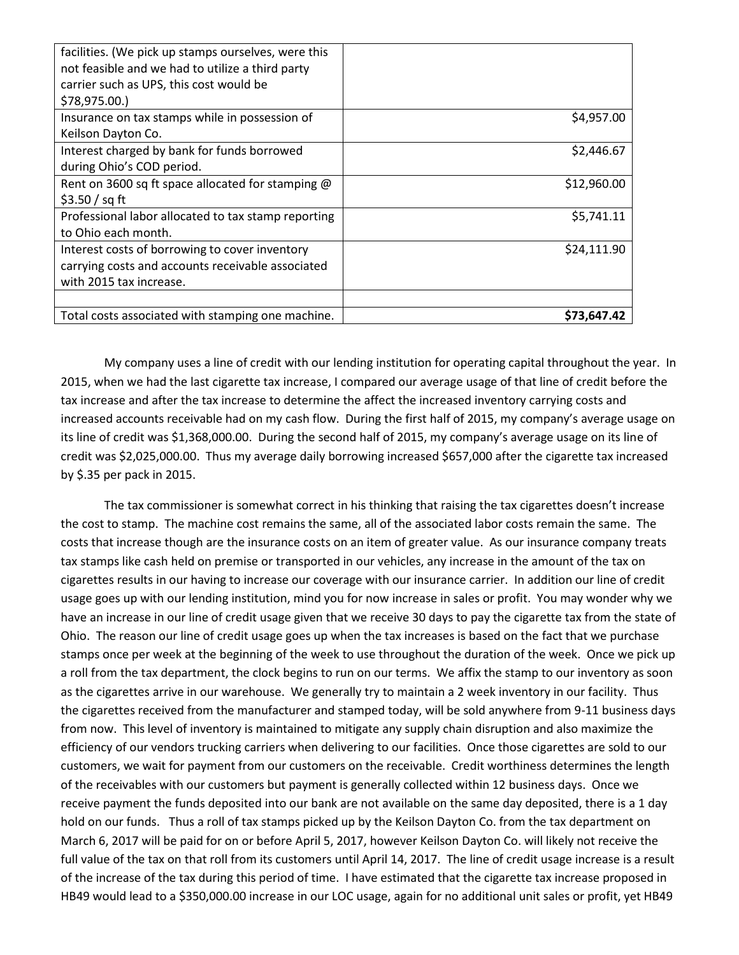| facilities. (We pick up stamps ourselves, were this |             |
|-----------------------------------------------------|-------------|
| not feasible and we had to utilize a third party    |             |
| carrier such as UPS, this cost would be             |             |
| \$78,975.00.)                                       |             |
| Insurance on tax stamps while in possession of      | \$4,957.00  |
| Keilson Dayton Co.                                  |             |
| Interest charged by bank for funds borrowed         | \$2,446.67  |
| during Ohio's COD period.                           |             |
| Rent on 3600 sq ft space allocated for stamping @   | \$12,960.00 |
| \$3.50 / sq ft                                      |             |
| Professional labor allocated to tax stamp reporting | \$5,741.11  |
| to Ohio each month.                                 |             |
| Interest costs of borrowing to cover inventory      | \$24,111.90 |
| carrying costs and accounts receivable associated   |             |
| with 2015 tax increase.                             |             |
|                                                     |             |
| Total costs associated with stamping one machine.   | \$73,647.42 |

My company uses a line of credit with our lending institution for operating capital throughout the year. In 2015, when we had the last cigarette tax increase, I compared our average usage of that line of credit before the tax increase and after the tax increase to determine the affect the increased inventory carrying costs and increased accounts receivable had on my cash flow. During the first half of 2015, my company's average usage on its line of credit was \$1,368,000.00. During the second half of 2015, my company's average usage on its line of credit was \$2,025,000.00. Thus my average daily borrowing increased \$657,000 after the cigarette tax increased by \$.35 per pack in 2015.

The tax commissioner is somewhat correct in his thinking that raising the tax cigarettes doesn't increase the cost to stamp. The machine cost remains the same, all of the associated labor costs remain the same. The costs that increase though are the insurance costs on an item of greater value. As our insurance company treats tax stamps like cash held on premise or transported in our vehicles, any increase in the amount of the tax on cigarettes results in our having to increase our coverage with our insurance carrier. In addition our line of credit usage goes up with our lending institution, mind you for now increase in sales or profit. You may wonder why we have an increase in our line of credit usage given that we receive 30 days to pay the cigarette tax from the state of Ohio. The reason our line of credit usage goes up when the tax increases is based on the fact that we purchase stamps once per week at the beginning of the week to use throughout the duration of the week. Once we pick up a roll from the tax department, the clock begins to run on our terms. We affix the stamp to our inventory as soon as the cigarettes arrive in our warehouse. We generally try to maintain a 2 week inventory in our facility. Thus the cigarettes received from the manufacturer and stamped today, will be sold anywhere from 9-11 business days from now. This level of inventory is maintained to mitigate any supply chain disruption and also maximize the efficiency of our vendors trucking carriers when delivering to our facilities. Once those cigarettes are sold to our customers, we wait for payment from our customers on the receivable. Credit worthiness determines the length of the receivables with our customers but payment is generally collected within 12 business days. Once we receive payment the funds deposited into our bank are not available on the same day deposited, there is a 1 day hold on our funds. Thus a roll of tax stamps picked up by the Keilson Dayton Co. from the tax department on March 6, 2017 will be paid for on or before April 5, 2017, however Keilson Dayton Co. will likely not receive the full value of the tax on that roll from its customers until April 14, 2017. The line of credit usage increase is a result of the increase of the tax during this period of time. I have estimated that the cigarette tax increase proposed in HB49 would lead to a \$350,000.00 increase in our LOC usage, again for no additional unit sales or profit, yet HB49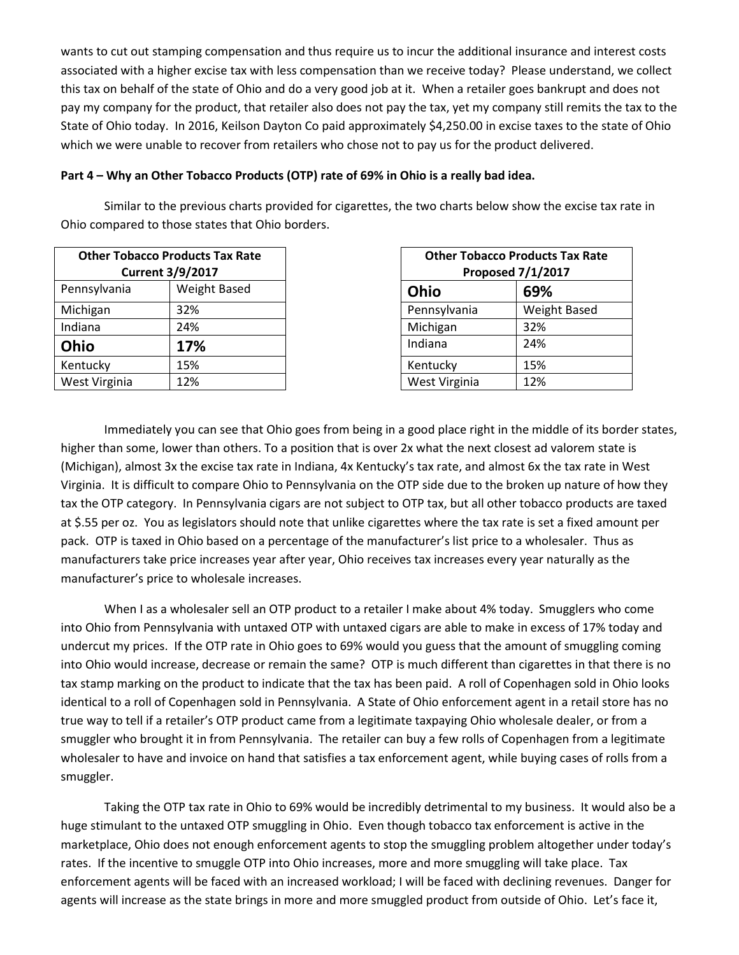wants to cut out stamping compensation and thus require us to incur the additional insurance and interest costs associated with a higher excise tax with less compensation than we receive today? Please understand, we collect this tax on behalf of the state of Ohio and do a very good job at it. When a retailer goes bankrupt and does not pay my company for the product, that retailer also does not pay the tax, yet my company still remits the tax to the State of Ohio today. In 2016, Keilson Dayton Co paid approximately \$4,250.00 in excise taxes to the state of Ohio which we were unable to recover from retailers who chose not to pay us for the product delivered.

## **Part 4 – Why an Other Tobacco Products (OTP) rate of 69% in Ohio is a really bad idea.**

Similar to the previous charts provided for cigarettes, the two charts below show the excise tax rate in Ohio compared to those states that Ohio borders.

|               | <b>Other Tobacco Products Tax Rate</b><br><b>Current 3/9/2017</b> |               | <b>Other Tobacco Products Tax Ra</b><br><b>Proposed 7/1/2017</b> |
|---------------|-------------------------------------------------------------------|---------------|------------------------------------------------------------------|
| Pennsylvania  | Weight Based                                                      | Ohio          | 69%                                                              |
| Michigan      | 32%                                                               | Pennsylvania  | <b>Weight Based</b>                                              |
| Indiana       | 24%                                                               | Michigan      | 32%                                                              |
| Ohio          | 17%                                                               | Indiana       | 24%                                                              |
| Kentucky      | 15%                                                               | Kentucky      | 15%                                                              |
| West Virginia | 12%                                                               | West Virginia | 12%                                                              |

| <b>Other Tobacco Products Tax Rate</b><br><b>Proposed 7/1/2017</b> |                     |  |
|--------------------------------------------------------------------|---------------------|--|
| Ohio                                                               | 69%                 |  |
| Pennsylvania                                                       | <b>Weight Based</b> |  |
| Michigan                                                           | 32%                 |  |
| Indiana                                                            | 24%                 |  |
| Kentucky                                                           | 15%                 |  |
| West Virginia                                                      | 12%                 |  |

Immediately you can see that Ohio goes from being in a good place right in the middle of its border states, higher than some, lower than others. To a position that is over 2x what the next closest ad valorem state is (Michigan), almost 3x the excise tax rate in Indiana, 4x Kentucky's tax rate, and almost 6x the tax rate in West Virginia. It is difficult to compare Ohio to Pennsylvania on the OTP side due to the broken up nature of how they tax the OTP category. In Pennsylvania cigars are not subject to OTP tax, but all other tobacco products are taxed at \$.55 per oz. You as legislators should note that unlike cigarettes where the tax rate is set a fixed amount per pack. OTP is taxed in Ohio based on a percentage of the manufacturer's list price to a wholesaler. Thus as manufacturers take price increases year after year, Ohio receives tax increases every year naturally as the manufacturer's price to wholesale increases.

When I as a wholesaler sell an OTP product to a retailer I make about 4% today. Smugglers who come into Ohio from Pennsylvania with untaxed OTP with untaxed cigars are able to make in excess of 17% today and undercut my prices. If the OTP rate in Ohio goes to 69% would you guess that the amount of smuggling coming into Ohio would increase, decrease or remain the same? OTP is much different than cigarettes in that there is no tax stamp marking on the product to indicate that the tax has been paid. A roll of Copenhagen sold in Ohio looks identical to a roll of Copenhagen sold in Pennsylvania. A State of Ohio enforcement agent in a retail store has no true way to tell if a retailer's OTP product came from a legitimate taxpaying Ohio wholesale dealer, or from a smuggler who brought it in from Pennsylvania. The retailer can buy a few rolls of Copenhagen from a legitimate wholesaler to have and invoice on hand that satisfies a tax enforcement agent, while buying cases of rolls from a smuggler.

Taking the OTP tax rate in Ohio to 69% would be incredibly detrimental to my business. It would also be a huge stimulant to the untaxed OTP smuggling in Ohio. Even though tobacco tax enforcement is active in the marketplace, Ohio does not enough enforcement agents to stop the smuggling problem altogether under today's rates. If the incentive to smuggle OTP into Ohio increases, more and more smuggling will take place. Tax enforcement agents will be faced with an increased workload; I will be faced with declining revenues. Danger for agents will increase as the state brings in more and more smuggled product from outside of Ohio. Let's face it,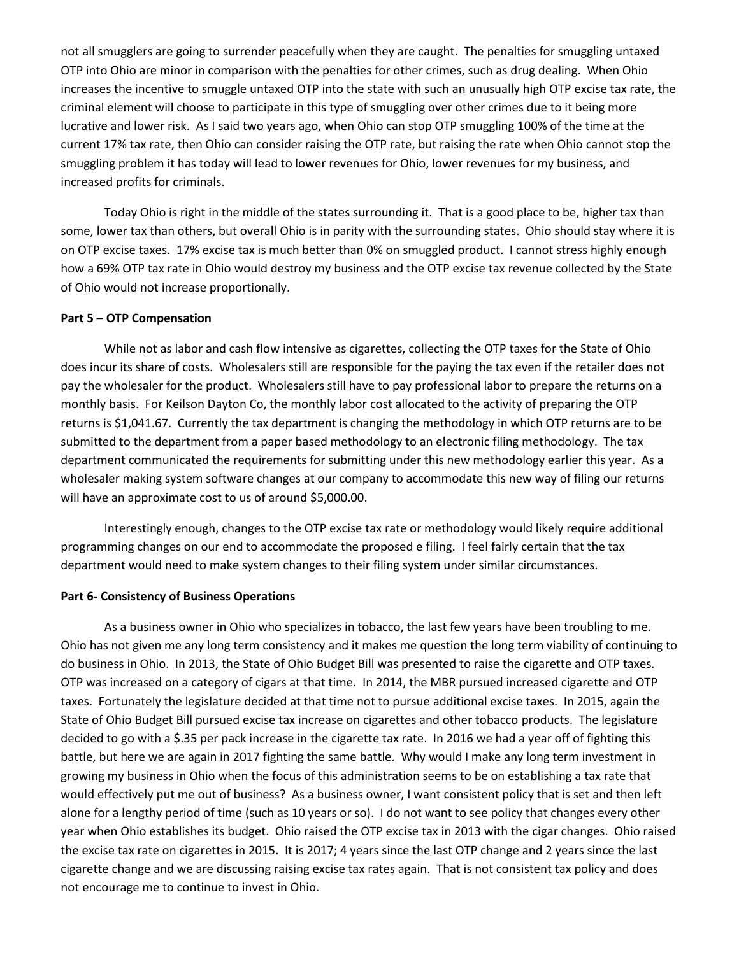not all smugglers are going to surrender peacefully when they are caught. The penalties for smuggling untaxed OTP into Ohio are minor in comparison with the penalties for other crimes, such as drug dealing. When Ohio increases the incentive to smuggle untaxed OTP into the state with such an unusually high OTP excise tax rate, the criminal element will choose to participate in this type of smuggling over other crimes due to it being more lucrative and lower risk. As I said two years ago, when Ohio can stop OTP smuggling 100% of the time at the current 17% tax rate, then Ohio can consider raising the OTP rate, but raising the rate when Ohio cannot stop the smuggling problem it has today will lead to lower revenues for Ohio, lower revenues for my business, and increased profits for criminals.

Today Ohio is right in the middle of the states surrounding it. That is a good place to be, higher tax than some, lower tax than others, but overall Ohio is in parity with the surrounding states. Ohio should stay where it is on OTP excise taxes. 17% excise tax is much better than 0% on smuggled product. I cannot stress highly enough how a 69% OTP tax rate in Ohio would destroy my business and the OTP excise tax revenue collected by the State of Ohio would not increase proportionally.

#### **Part 5 – OTP Compensation**

While not as labor and cash flow intensive as cigarettes, collecting the OTP taxes for the State of Ohio does incur its share of costs. Wholesalers still are responsible for the paying the tax even if the retailer does not pay the wholesaler for the product. Wholesalers still have to pay professional labor to prepare the returns on a monthly basis. For Keilson Dayton Co, the monthly labor cost allocated to the activity of preparing the OTP returns is \$1,041.67. Currently the tax department is changing the methodology in which OTP returns are to be submitted to the department from a paper based methodology to an electronic filing methodology. The tax department communicated the requirements for submitting under this new methodology earlier this year. As a wholesaler making system software changes at our company to accommodate this new way of filing our returns will have an approximate cost to us of around \$5,000.00.

Interestingly enough, changes to the OTP excise tax rate or methodology would likely require additional programming changes on our end to accommodate the proposed e filing. I feel fairly certain that the tax department would need to make system changes to their filing system under similar circumstances.

#### **Part 6- Consistency of Business Operations**

As a business owner in Ohio who specializes in tobacco, the last few years have been troubling to me. Ohio has not given me any long term consistency and it makes me question the long term viability of continuing to do business in Ohio. In 2013, the State of Ohio Budget Bill was presented to raise the cigarette and OTP taxes. OTP was increased on a category of cigars at that time. In 2014, the MBR pursued increased cigarette and OTP taxes. Fortunately the legislature decided at that time not to pursue additional excise taxes. In 2015, again the State of Ohio Budget Bill pursued excise tax increase on cigarettes and other tobacco products. The legislature decided to go with a \$.35 per pack increase in the cigarette tax rate. In 2016 we had a year off of fighting this battle, but here we are again in 2017 fighting the same battle. Why would I make any long term investment in growing my business in Ohio when the focus of this administration seems to be on establishing a tax rate that would effectively put me out of business? As a business owner, I want consistent policy that is set and then left alone for a lengthy period of time (such as 10 years or so). I do not want to see policy that changes every other year when Ohio establishes its budget. Ohio raised the OTP excise tax in 2013 with the cigar changes. Ohio raised the excise tax rate on cigarettes in 2015. It is 2017; 4 years since the last OTP change and 2 years since the last cigarette change and we are discussing raising excise tax rates again. That is not consistent tax policy and does not encourage me to continue to invest in Ohio.